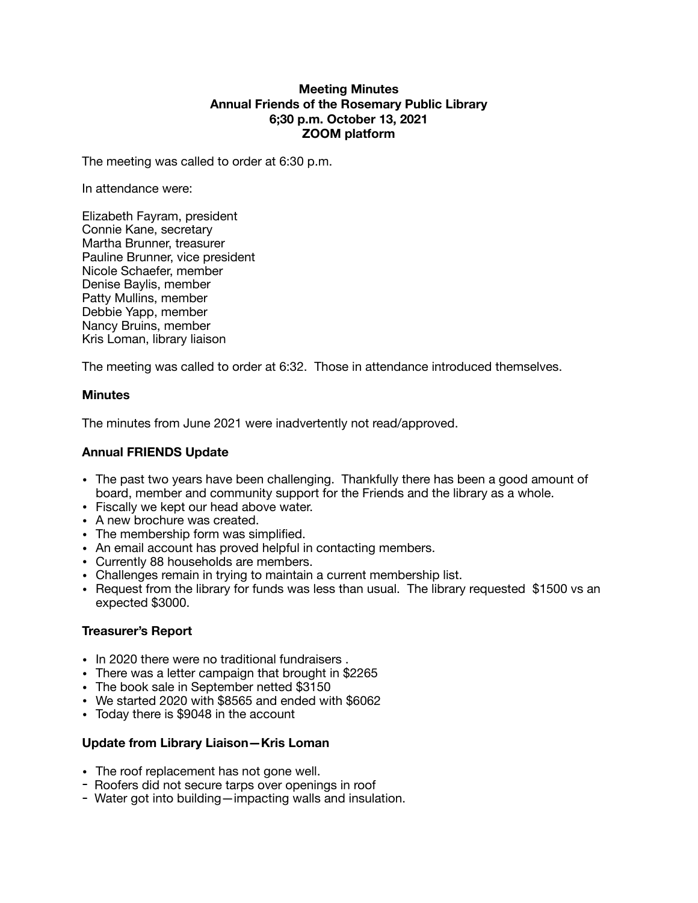#### **Meeting Minutes Annual Friends of the Rosemary Public Library 6;30 p.m. October 13, 2021 ZOOM platform**

The meeting was called to order at 6:30 p.m.

In attendance were:

Elizabeth Fayram, president Connie Kane, secretary Martha Brunner, treasurer Pauline Brunner, vice president Nicole Schaefer, member Denise Baylis, member Patty Mullins, member Debbie Yapp, member Nancy Bruins, member Kris Loman, library liaison

The meeting was called to order at 6:32. Those in attendance introduced themselves.

# **Minutes**

The minutes from June 2021 were inadvertently not read/approved.

# **Annual FRIENDS Update**

- The past two years have been challenging. Thankfully there has been a good amount of board, member and community support for the Friends and the library as a whole.
- Fiscally we kept our head above water.
- A new brochure was created.
- The membership form was simplified.
- An email account has proved helpful in contacting members.
- Currently 88 households are members.
- Challenges remain in trying to maintain a current membership list.
- Request from the library for funds was less than usual. The library requested \$1500 vs an expected \$3000.

# **Treasurer's Report**

- In 2020 there were no traditional fundraisers .
- There was a letter campaign that brought in \$2265
- The book sale in September netted \$3150
- We started 2020 with \$8565 and ended with \$6062
- Today there is \$9048 in the account

# **Update from Library Liaison—Kris Loman**

- The roof replacement has not gone well.
- Roofers did not secure tarps over openings in roof
- Water got into building—impacting walls and insulation.